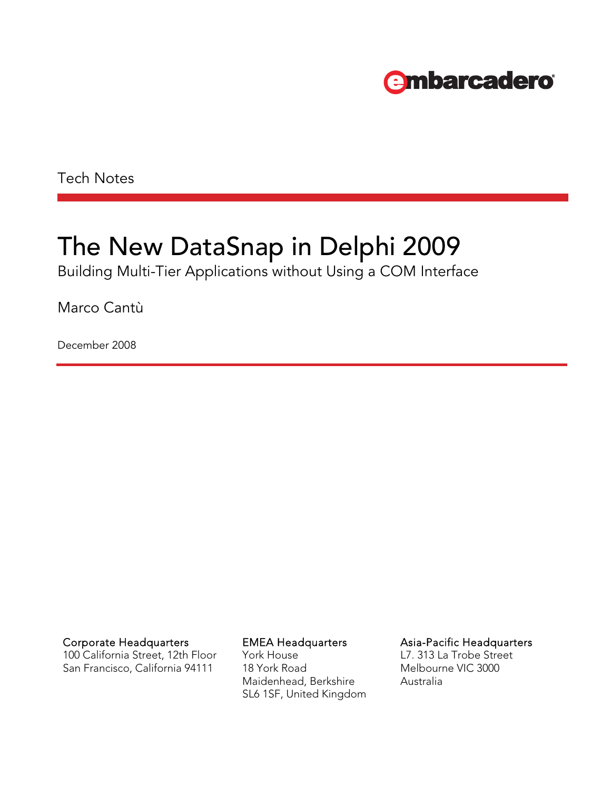

Tech Notes

# The New DataSnap in Delphi 2009

Building Multi-Tier Applications without Using a COM Interface

Marco Cantù

December 2008

Corporate Headquarters **EMEA Headquarters** Asia-Pacific Headquarters

100 California Street, 12th Floor San Francisco, California 94111

York House 18 York Road Maidenhead, Berkshire SL6 1SF, United Kingdom

L7. 313 La Trobe Street Melbourne VIC 3000 Australia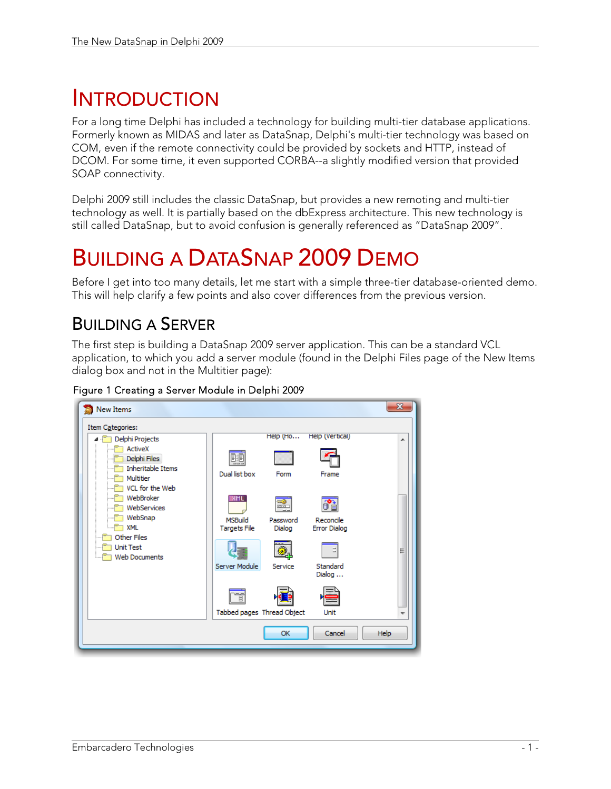### **INTRODUCTION**

For a long time Delphi has included a technology for building multi-tier database applications. Formerly known as MIDAS and later as DataSnap, Delphi's multi-tier technology was based on COM, even if the remote connectivity could be provided by sockets and HTTP, instead of DCOM. For some time, it even supported CORBA--a slightly modified version that provided SOAP connectivity.

Delphi 2009 still includes the classic DataSnap, but provides a new remoting and multi-tier technology as well. It is partially based on the dbExpress architecture. This new technology is still called DataSnap, but to avoid confusion is generally referenced as "DataSnap 2009".

## BUILDING A DATASNAP 2009 DEMO

Before I get into too many details, let me start with a simple three-tier database-oriented demo. This will help clarify a few points and also cover differences from the previous version.

#### BUILDING A SERVER

The first step is building a DataSnap 2009 server application. This can be a standard VCL application, to which you add a server module (found in the Delphi Files page of the New Items dialog box and not in the Multitier page):

#### Figure 1 Creating a Server Module in Delphi 2009

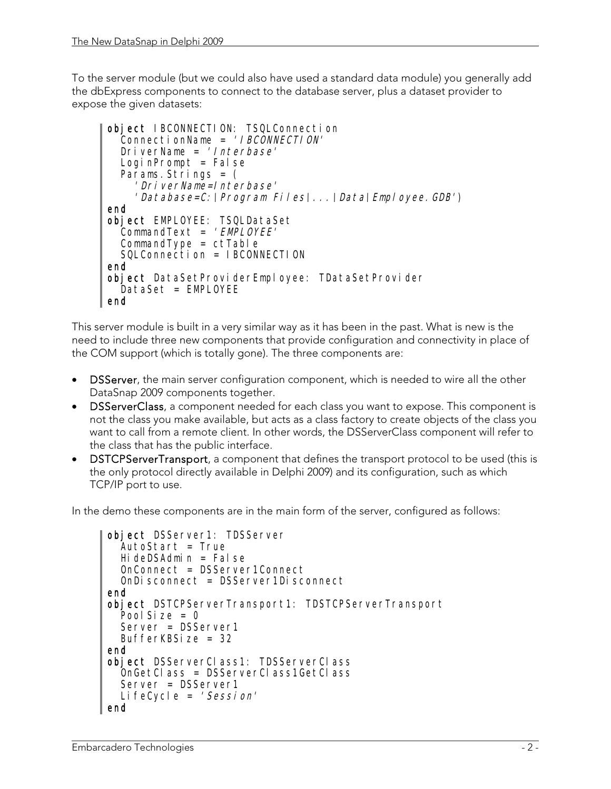To the server module (but we could also have used a standard data module) you generally add the dbExpress components to connect to the database server, plus a dataset provider to expose the given datasets:

```
object IBCONNECTION: TSQLConnection 
  ConnectionName = 'IBCONNECTION'
DriverName = 'Interbase'
 LoginPrompt = False 
   Params.Strings = ( 
     'DriverName=Interbase' 
     'Database=C:\Program Files\...\Data\Employee.GDB') 
end 
object EMPLOYEE: TSQLDataSet
CommandText = 'EMPLOYEE'
  CommandType = ctTabl eSQLConnection = IBCONNECTION
end 
object DataSetProviderEmployee: TDataSetProvider
   DataSet = EMPLOYEE 
end
```
This server module is built in a very similar way as it has been in the past. What is new is the need to include three new components that provide configuration and connectivity in place of the COM support (which is totally gone). The three components are:

- DSServer, the main server configuration component, which is needed to wire all the other DataSnap 2009 components together.
- DSServerClass, a component needed for each class you want to expose. This component is not the class you make available, but acts as a class factory to create objects of the class you want to call from a remote client. In other words, the DSServerClass component will refer to the class that has the public interface.
- DSTCPServerTransport, a component that defines the transport protocol to be used (this is the only protocol directly available in Delphi 2009) and its configuration, such as which TCP/IP port to use.

In the demo these components are in the main form of the server, configured as follows:

```
object DSServer1: TDSServer 
   AutoStart = True 
  HideDSAdmin = False
   OnConnect = DSServer1Connect 
  OnDisconnect = DSServer1Disconnect
end 
object DSTCPServerTransport1: TDSTCPServerTransport 
  Pool Si ze = 0 Server = DSServer1 
   BufferKBSize = 32 
end 
object DSServerClass1: TDSServerClass
   OnGetClass = DSServerClass1GetClass 
   Server = DSServer1 
  LifeCycle = 'Session'
end
```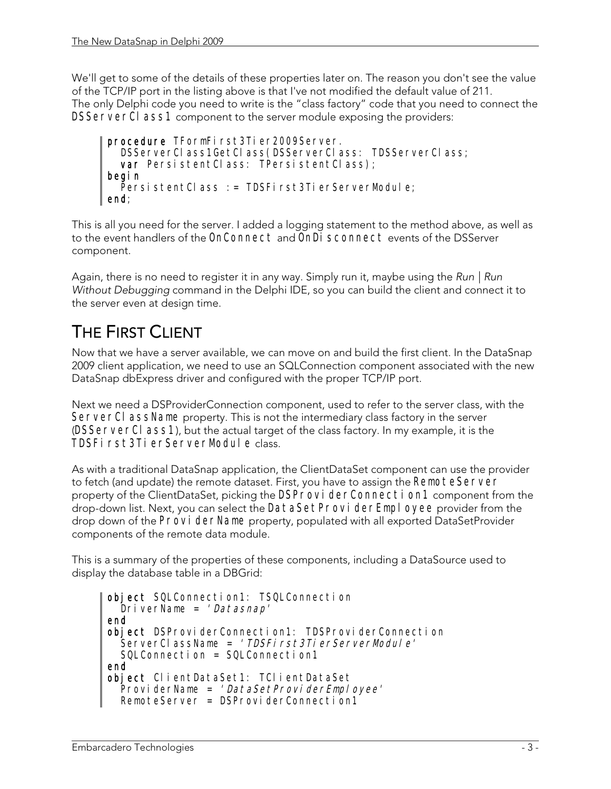We'll get to some of the details of these properties later on. The reason you don't see the value of the TCP/IP port in the listing above is that I've not modified the default value of 211. The only Delphi code you need to write is the "class factory" code that you need to connect the DSServerCI ass1 component to the server module exposing the providers:

```
procedure TFormFirst3Tier2009Server.
  DSServerClass1GetClass(DSServerClass: TDSServerClass;
  var PersistentClass: TPersistentClass);
begin 
  PersistentClass: = TDSFirst3TierServerModule;
end;
```
This is all you need for the server. I added a logging statement to the method above, as well as to the event handlers of the OnConnect and OnDi sconnect events of the DSServer component.

Again, there is no need to register it in any way. Simply run it, maybe using the Run | Run Without Debugging command in the Delphi IDE, so you can build the client and connect it to the server even at design time.

### THE FIRST CLIENT

Now that we have a server available, we can move on and build the first client. In the DataSnap 2009 client application, we need to use an SQLConnection component associated with the new DataSnap dbExpress driver and configured with the proper TCP/IP port.

Next we need a DSProviderConnection component, used to refer to the server class, with the ServerCI assName property. This is not the intermediary class factory in the server (DSServerCl ass1), but the actual target of the class factory. In my example, it is the TDSFirst3TierServerModule class.

As with a traditional DataSnap application, the ClientDataSet component can use the provider to fetch (and update) the remote dataset. First, you have to assign the RemoteServer property of the ClientDataSet, picking the DSProvi derConnection1 component from the drop-down list. Next, you can select the DataSetProvi derEmployee provider from the drop down of the Provi derName property, populated with all exported DataSetProvider components of the remote data module.

This is a summary of the properties of these components, including a DataSource used to display the database table in a DBGrid:

```
object SQLConnection1: TSQLConnection 
 DriverName = 'Datasnap'
end 
object DSProviderConnection1: TDSProviderConnection
  ServerClassName = 'TDSFirst3TierServerModule'
  SQLConnection = SQLConnection1
end 
object ClientDataSet1: TClientDataSet 
  ProviderName = 'DataSetProviderEmployee'
  RemoteServer = DSProviderConnection1
```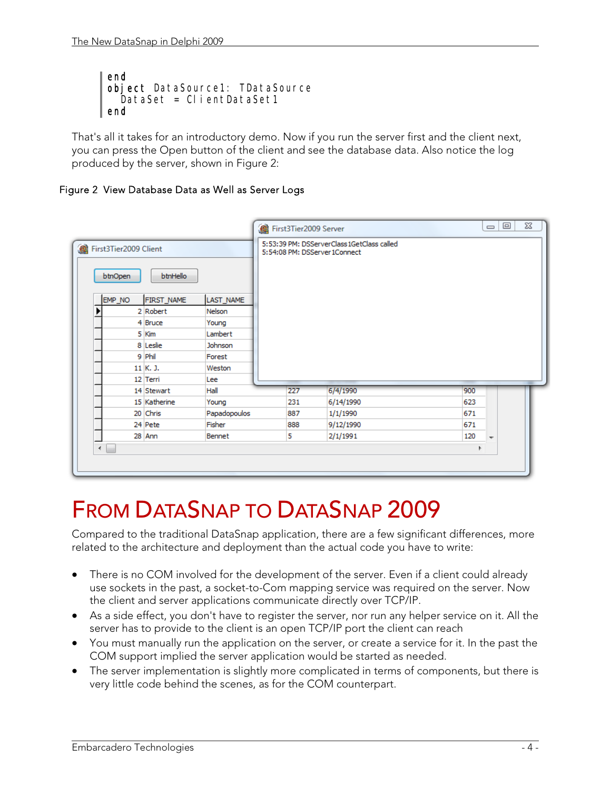```
end 
object DataSource1: TDataSource 
   DataSet = ClientDataSet1 
end
```
That's all it takes for an introductory demo. Now if you run the server first and the client next, you can press the Open button of the client and see the database data. Also notice the log produced by the server, shown in Figure 2:





## FROM DATASNAP TO DATASNAP 2009

Compared to the traditional DataSnap application, there are a few significant differences, more related to the architecture and deployment than the actual code you have to write:

- There is no COM involved for the development of the server. Even if a client could already use sockets in the past, a socket-to-Com mapping service was required on the server. Now the client and server applications communicate directly over TCP/IP.
- As a side effect, you don't have to register the server, nor run any helper service on it. All the server has to provide to the client is an open TCP/IP port the client can reach
- You must manually run the application on the server, or create a service for it. In the past the COM support implied the server application would be started as needed.
- The server implementation is slightly more complicated in terms of components, but there is very little code behind the scenes, as for the COM counterpart.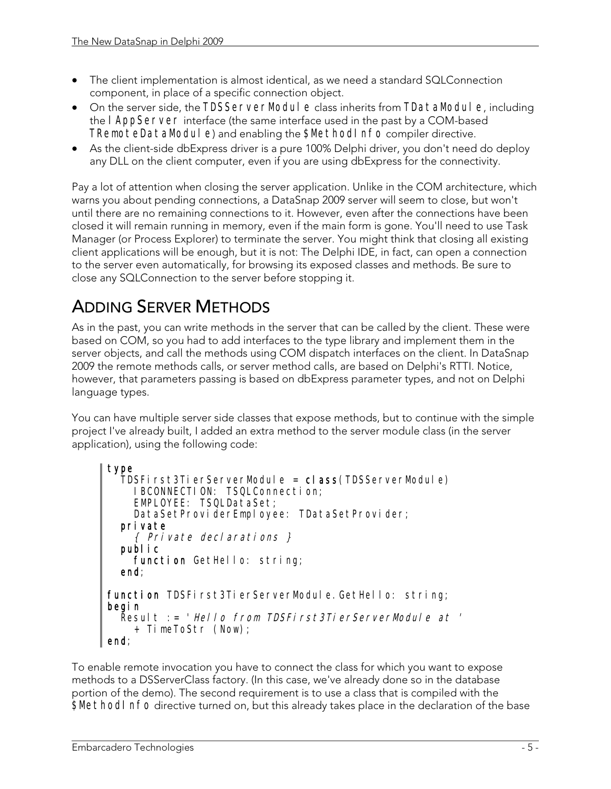- The client implementation is almost identical, as we need a standard SQLConnection component, in place of a specific connection object.
- On the server side, the TDSServerModul e class inherits from TDataModul e, including the I AppServer interface (the same interface used in the past by a COM-based TRemoteDataModule) and enabling the \$MethodInfo compiler directive.
- As the client-side dbExpress driver is a pure 100% Delphi driver, you don't need do deploy any DLL on the client computer, even if you are using dbExpress for the connectivity.

Pay a lot of attention when closing the server application. Unlike in the COM architecture, which warns you about pending connections, a DataSnap 2009 server will seem to close, but won't until there are no remaining connections to it. However, even after the connections have been closed it will remain running in memory, even if the main form is gone. You'll need to use Task Manager (or Process Explorer) to terminate the server. You might think that closing all existing client applications will be enough, but it is not: The Delphi IDE, in fact, can open a connection to the server even automatically, for browsing its exposed classes and methods. Be sure to close any SQLConnection to the server before stopping it.

### ADDING SERVER METHODS

As in the past, you can write methods in the server that can be called by the client. These were based on COM, so you had to add interfaces to the type library and implement them in the server objects, and call the methods using COM dispatch interfaces on the client. In DataSnap 2009 the remote methods calls, or server method calls, are based on Delphi's RTTI. Notice, however, that parameters passing is based on dbExpress parameter types, and not on Delphi language types.

You can have multiple server side classes that expose methods, but to continue with the simple project I've already built, I added an extra method to the server module class (in the server application), using the following code:

```
type 
   TDSFirst3TierServerModule = class(TDSServerModule) 
     IBCONNECTION: TSQLConnection; 
     EMPLOYEE: TSQLDataSet; 
    DataSetProviderEmployee: TDataSetProvider;
   private 
     { Private declarations } 
   public 
    function GetHello: string;
   end; 
function TDSFirst3TierServerModule.GetHello: string;
begin 
   Result := 'Hello from TDSFirst3TierServerModule at ' 
     + TimeToStr (Now); 
end;
```
To enable remote invocation you have to connect the class for which you want to expose methods to a DSServerClass factory. (In this case, we've already done so in the database portion of the demo). The second requirement is to use a class that is compiled with the \$MethodInfo directive turned on, but this already takes place in the declaration of the base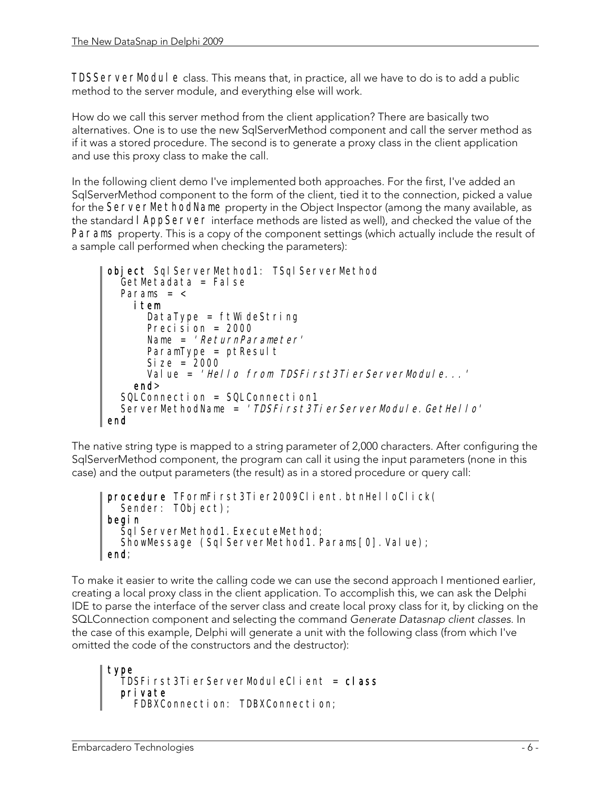TDSServerModul e class. This means that, in practice, all we have to do is to add a public method to the server module, and everything else will work.

How do we call this server method from the client application? There are basically two alternatives. One is to use the new SqlServerMethod component and call the server method as if it was a stored procedure. The second is to generate a proxy class in the client application and use this proxy class to make the call.

In the following client demo I've implemented both approaches. For the first, I've added an SqlServerMethod component to the form of the client, tied it to the connection, picked a value for the ServerMethodName property in the Object Inspector (among the many available, as the standard I AppServer interface methods are listed as well), and checked the value of the Params property. This is a copy of the component settings (which actually include the result of a sample call performed when checking the parameters):

```
object SqlServerMethod1: TSqlServerMethod
   GetMetadata = False 
  Params = < item 
      DataType = ftWideString
       Precision = 2000 
      Name = 'ReturnParameter'
      ParamType = ptResultSize = 2000Value = 'Hello from TDSFirst3TierServerModule...'
     end> 
  SQLConnection = SQLConnection1
  ServerMethodName = 'TDSFirst3TierServerModule.GetHello'
end
```
The native string type is mapped to a string parameter of 2,000 characters. After configuring the SqlServerMethod component, the program can call it using the input parameters (none in this case) and the output parameters (the result) as in a stored procedure or query call:

```
procedure TFormFirst3Tier2009Client.btnHelloClick(
  Sender: T0bject);
begin 
   SqlServerMethod1.ExecuteMethod; 
  ShowMessage (Sql ServerMethod1. Params[0]. Value);
end;
```
To make it easier to write the calling code we can use the second approach I mentioned earlier, creating a local proxy class in the client application. To accomplish this, we can ask the Delphi IDE to parse the interface of the server class and create local proxy class for it, by clicking on the SQLConnection component and selecting the command Generate Datasnap client classes. In the case of this example, Delphi will generate a unit with the following class (from which I've omitted the code of the constructors and the destructor):

```
type 
   TDSFirst3TierServerModuleClient = class 
   private 
     FDBXConnection: TDBXConnection;
```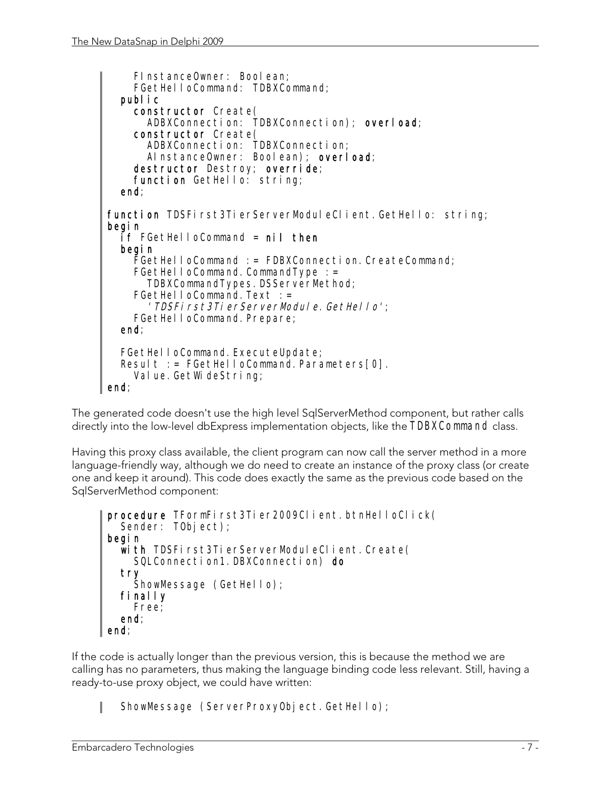```
 FInstanceOwner: Boolean; 
    FGetHelloCommand: TDBXCommand;
   public 
     constructor Create( 
      ADBXConnection: TDBXConnection); overload;
     constructor Create( 
       ADBXConnection: TDBXConnection; 
      AInstanceOwner: Boolean); overload;
     destructor Destroy; override; 
    function GetHello: string;
   end; 
function TDSFirst3TierServerModuleClient.GetHello: string;
begin 
   if FGetHelloCommand = nil then 
   begin 
    \textsf{FGetHel} I oCommand : = FDBXConnection. CreateCommand;
    FGetHel I oCommand. CommandType : =
       TDBXCommandTypes.DSServerMethod; 
    FGetHelloCommand.Text :='TDSFirst3TierServerModule.GetHello';
    FGetHelloCommand.Prepare;
   end; 
  FGetHelloCommand.ExecuteUpdate;
  Result := FGetHelloCommand.Parameters[0].
    Value.GetWideString;
end;
```
The generated code doesn't use the high level SqlServerMethod component, but rather calls directly into the low-level dbExpress implementation objects, like the TDBXCommand class.

Having this proxy class available, the client program can now call the server method in a more language-friendly way, although we do need to create an instance of the proxy class (or create one and keep it around). This code does exactly the same as the previous code based on the SqlServerMethod component:

```
procedure TFormFirst3Tier2009Client.btnHelloClick(
  Sender: T0bject);
begin 
  with TDSFirst3TierServerModuleClient.Create(
    SQLConnection1.DBXConnection) do
   try 
    ShowMessage (GetHello);
  finally
     Free; 
   end; 
end;
```
If the code is actually longer than the previous version, this is because the method we are calling has no parameters, thus making the language binding code less relevant. Still, having a ready-to-use proxy object, we could have written:

ShowMessage (ServerProxyObject.GetHello);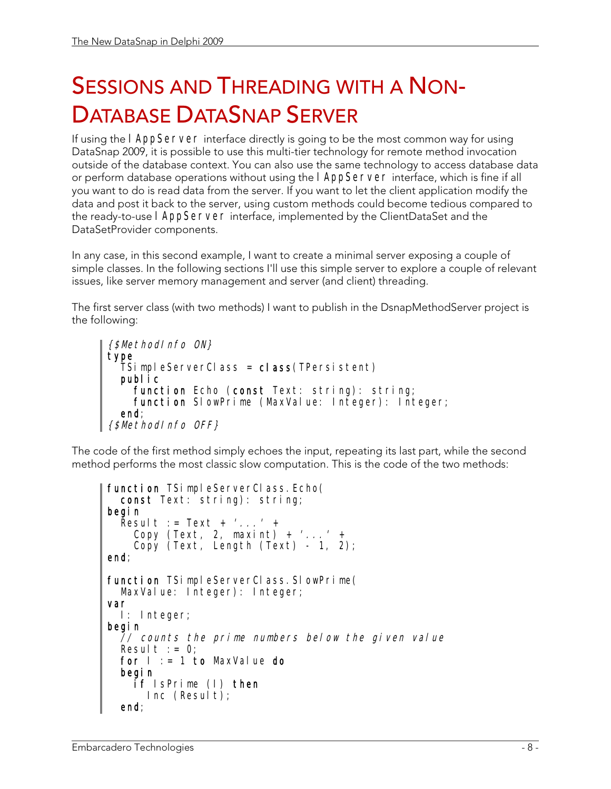## SESSIONS AND THREADING WITH A NON-DATABASE DATASNAP SERVER

If using the I AppServer interface directly is going to be the most common way for using DataSnap 2009, it is possible to use this multi-tier technology for remote method invocation outside of the database context. You can also use the same technology to access database data or perform database operations without using the I AppServer interface, which is fine if all you want to do is read data from the server. If you want to let the client application modify the data and post it back to the server, using custom methods could become tedious compared to the ready-to-use IAppServer interface, implemented by the ClientDataSet and the DataSetProvider components.

In any case, in this second example, I want to create a minimal server exposing a couple of simple classes. In the following sections I'll use this simple server to explore a couple of relevant issues, like server memory management and server (and client) threading.

The first server class (with two methods) I want to publish in the DsnapMethodServer project is the following:

```
{$MethodInfo ON} 
type 
   TSimpleServerClass = class(TPersistent) 
  public 
    function Echo (const Text: string): string;
    function SlowPrime (MaxValue: Integer): Integer;
  end; 
{$MethodInfo OFF}
```
The code of the first method simply echoes the input, repeating its last part, while the second method performs the most classic slow computation. This is the code of the two methods:

```
function TSimpleServerClass.Echo(
   const Text: string): string; 
begin 
  Result := Text + \prime...' +
    Copy (Text, 2, maxint) + '...' +
    Copy (Text, Length (Text) - 1, 2);
end; 
function TSimpleServerClass.SlowPrime(
  MaxValue: Integer): Integer;
var 
   I: Integer; 
begin 
   // counts the prime numbers below the given value 
  Result := 0;
  for I := 1 to MaxValue do
   begin 
     if IsPrime (I) then 
      Inc (Result);
   end;
```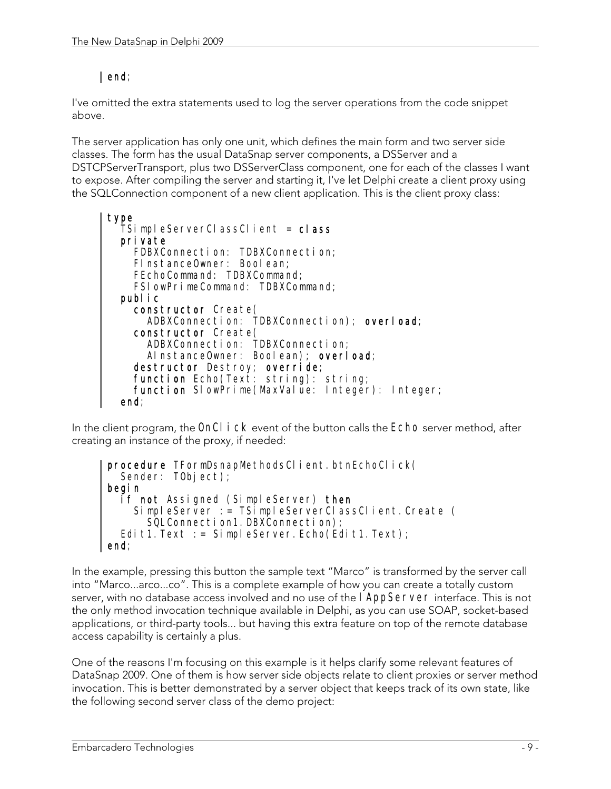#### $\parallel$  end;

I've omitted the extra statements used to log the server operations from the code snippet above.

The server application has only one unit, which defines the main form and two server side classes. The form has the usual DataSnap server components, a DSServer and a DSTCPServerTransport, plus two DSServerClass component, one for each of the classes I want to expose. After compiling the server and starting it, I've let Delphi create a client proxy using the SQLConnection component of a new client application. This is the client proxy class:

```
type 
  TSimpleServerClassClient = class
  private 
     FDBXConnection: TDBXConnection; 
    FInstanceOwner: Boolean;
     FEchoCommand: TDBXCommand; 
    FSI owPrimeCommand: TDBXCommand;
 publ i c
    constructor Create( 
      ADBXConnection: TDBXConnection); overload;
     constructor Create( 
       ADBXConnection: TDBXConnection; 
      AInstanceOwner: Boolean); overload;
 destructor Destroy; override; 
function Echo(Text: string): string;
    function SlowPrime(MaxValue: Integer): Integer;
  end;
```
In the client program, the OnCI i CK event of the button calls the ECho server method, after creating an instance of the proxy, if needed:

```
procedure TFormDsnapMethodsClient.btnEchoClick(
   Sender: T0bject);
 begin 
    if not Assigned (SimpleServer) then 
      SimpleServer := TSimpleServerClassClient.Create ( 
       SQLConnection1.DBXConnection);
   Edit1. Text := SimpleServer. Echo(Edit1. Text);
\blacksquare end;
```
In the example, pressing this button the sample text "Marco" is transformed by the server call into "Marco...arco...co". This is a complete example of how you can create a totally custom server, with no database access involved and no use of the I AppServer interface. This is not the only method invocation technique available in Delphi, as you can use SOAP, socket-based applications, or third-party tools... but having this extra feature on top of the remote database access capability is certainly a plus.

One of the reasons I'm focusing on this example is it helps clarify some relevant features of DataSnap 2009. One of them is how server side objects relate to client proxies or server method invocation. This is better demonstrated by a server object that keeps track of its own state, like the following second server class of the demo project: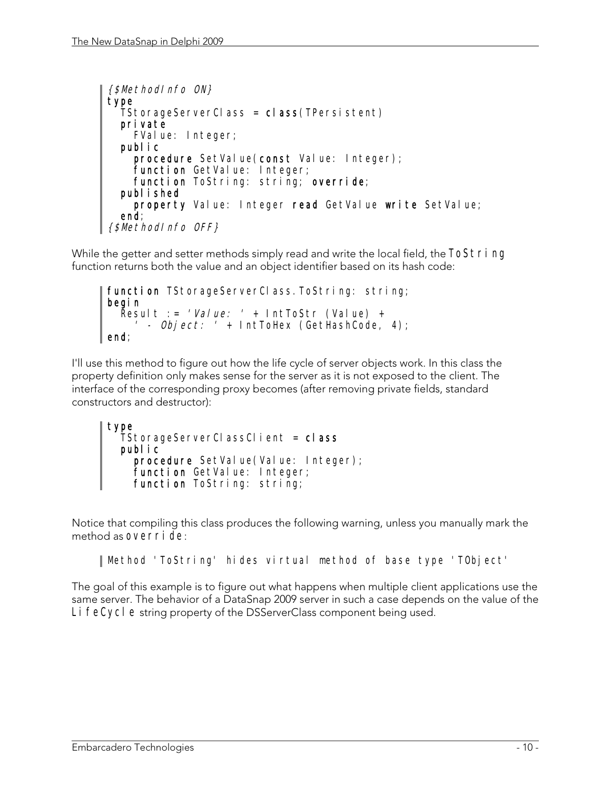```
{$MethodInfo ON} 
type 
  TStorageServerClass = class(TPersistent)
  private 
    FValue: Integer;
  public 
    procedure SetValue(const Value: Integer);
    function GetValue: Integer;
    function ToString: string; override;
 publ i shed
    property Value: Integer read GetValue write SetValue;
  end; 
{$MethodInfo OFF}
```
While the getter and setter methods simply read and write the local field, the ToString function returns both the value and an object identifier based on its hash code:

```
function TStorageServerClass. ToString: string;
begin 
  Resul t := 'Val ue: ' + IntToStr (Val ue) +- Object: ' + IntToHex (GetHashCode, 4);
end;
```
I'll use this method to figure out how the life cycle of server objects work. In this class the property definition only makes sense for the server as it is not exposed to the client. The interface of the corresponding proxy becomes (after removing private fields, standard constructors and destructor):

```
type 
  TStorageServerClassClient = class
 publ i c
   procedure SetValue(Value: Integer);
function GetValue: Integer;
 function ToString: string;
```
Notice that compiling this class produces the following warning, unless you manually mark the method as **override**:

```
Method 'ToString' hides virtual method of base type 'TObject'
```
The goal of this example is to figure out what happens when multiple client applications use the same server. The behavior of a DataSnap 2009 server in such a case depends on the value of the Li feCycl e string property of the DSServerClass component being used.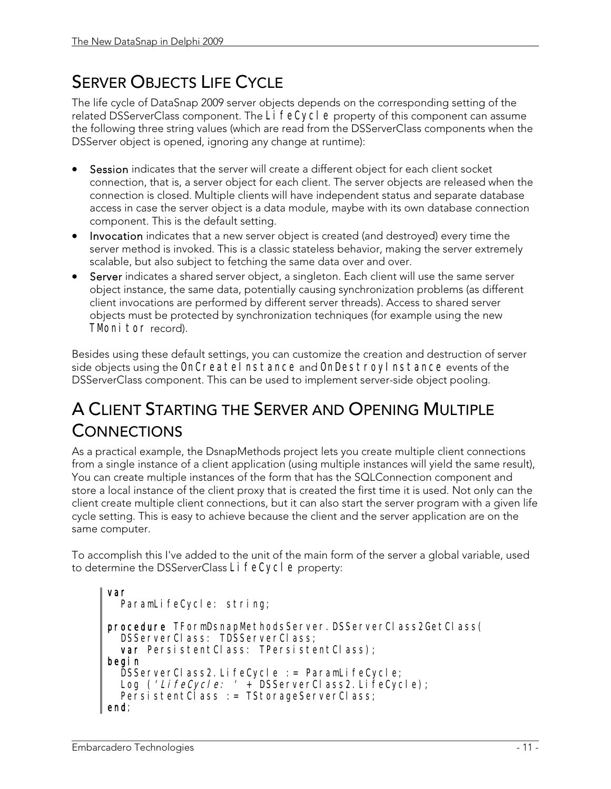### SERVER OBJECTS LIFE CYCLE

The life cycle of DataSnap 2009 server objects depends on the corresponding setting of the related DSServerClass component. The Li feCycl e property of this component can assume the following three string values (which are read from the DSServerClass components when the DSServer object is opened, ignoring any change at runtime):

- Session indicates that the server will create a different object for each client socket connection, that is, a server object for each client. The server objects are released when the connection is closed. Multiple clients will have independent status and separate database access in case the server object is a data module, maybe with its own database connection component. This is the default setting.
- Invocation indicates that a new server object is created (and destroyed) every time the server method is invoked. This is a classic stateless behavior, making the server extremely scalable, but also subject to fetching the same data over and over.
- Server indicates a shared server object, a singleton. Each client will use the same server object instance, the same data, potentially causing synchronization problems (as different client invocations are performed by different server threads). Access to shared server objects must be protected by synchronization techniques (for example using the new TMoni tor record).

Besides using these default settings, you can customize the creation and destruction of server side objects using the OnCreateInstance and OnDestroyInstance events of the DSServerClass component. This can be used to implement server-side object pooling.

### A CLIENT STARTING THE SERVER AND OPENING MULTIPLE **CONNECTIONS**

As a practical example, the DsnapMethods project lets you create multiple client connections from a single instance of a client application (using multiple instances will yield the same result), You can create multiple instances of the form that has the SQLConnection component and store a local instance of the client proxy that is created the first time it is used. Not only can the client create multiple client connections, but it can also start the server program with a given life cycle setting. This is easy to achieve because the client and the server application are on the same computer.

To accomplish this I've added to the unit of the main form of the server a global variable, used to determine the DSServerClass Li feCycl e property:

```
var 
  ParamLifeCycle: string;
procedure TFormDsnapMethodsServer.DSServerClass2GetClass(
  DSServerClass: TDSServerClass;
   var PersistentClass: TPersistentClass); 
begin 
  DSServerCI ass2. Li feCycle : = ParamLi feCycle;
  Log ('LifeCycle: ' + DSServerClass2. LifeCycle);
  PersistentClass := TStorageServerClass;
end;
```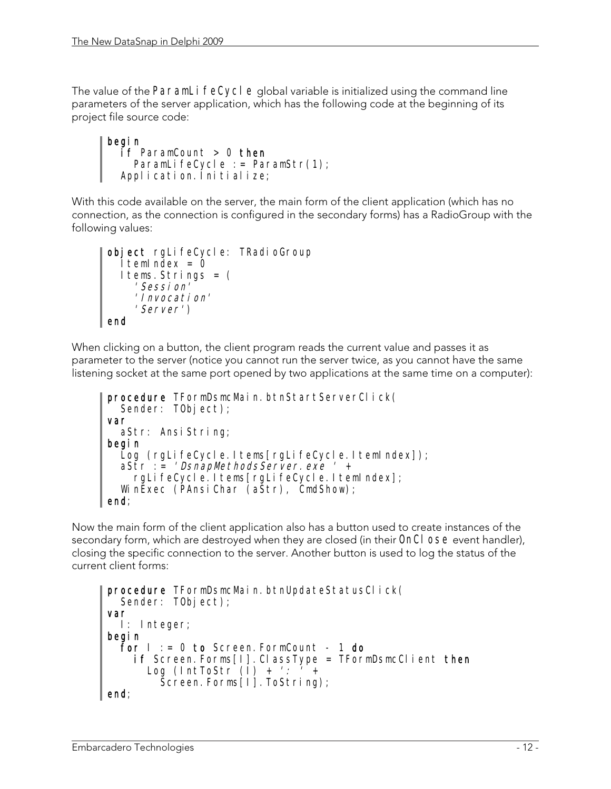The value of the ParamLi feCycl e global variable is initialized using the command line parameters of the server application, which has the following code at the beginning of its project file source code:

```
begin 
  if ParamCount > 0 then
    ParamLifeCycle := ParamStr(1);
  Application. Initialize;
```
With this code available on the server, the main form of the client application (which has no connection, as the connection is configured in the secondary forms) has a RadioGroup with the following values:

```
object rgLifeCycle: TRadioGroup
  \lambda temIndex = 0
  I tems. Strings = (
      'Session' 
      'Invocation' 
      'Server') 
end
```
When clicking on a button, the client program reads the current value and passes it as parameter to the server (notice you cannot run the server twice, as you cannot have the same listening socket at the same port opened by two applications at the same time on a computer):

```
procedure TFormDsmcMain.btnStartServerClick(
  Sender: T0bject);
var 
  aStr: AnsiString;
begin 
  Log (rgLifeCycle.Items[rgLifeCycle.ItemIndex]);
  a\overrightarrow{str} := 'DsnapMethodsServer.exe' +
    rgLifeCycle.Items[rgLifeCycle.ItemIndex];
  WinExec (PAnsiChar (a\bar{S}tr), CmdShow);
end;
```
Now the main form of the client application also has a button used to create instances of the secondary form, which are destroyed when they are closed (in their OnCI OSe event handler), closing the specific connection to the server. Another button is used to log the status of the current client forms:

```
procedure TFormDsmcMain.btnUpdateStatusClick(
  Sender: T0bject);
var 
   I: Integer; 
begin 
  for I := 0 to Screen. FormCount - 1 do
    if Screen. Forms[1]. ClassType = TFormDsmcClient then
      Log (IntToStr (1) + ': ' +
         Screen.Forms[I].ToString); 
end;
```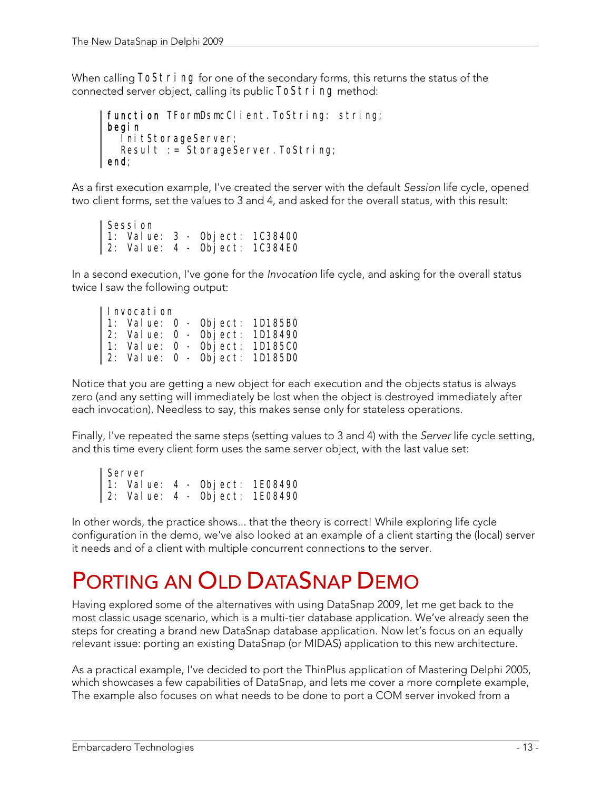When calling ToString for one of the secondary forms, this returns the status of the connected server object, calling its public ToString method:

```
function TFormDsmcClient. ToString: string;
begin 
  InitStorageServer;
  Result := StorageServer. ToString;
end;
```
As a first execution example, I've created the server with the default Session life cycle, opened two client forms, set the values to 3 and 4, and asked for the overall status, with this result:

```
Session 
1: Value: 3 - Object: 1C38400 
2: Value: 4 - Object: 1C384E0
```
In a second execution, I've gone for the Invocation life cycle, and asking for the overall status twice I saw the following output:

```
Invocation 
1: Value: 0 - Object: 1D185B0 
2: Value: 0 - Object: 1D18490 
1: Value: 0 - Object: 1D185C0 
2: Value: 0 - Object: 1D185D0
```
Notice that you are getting a new object for each execution and the objects status is always zero (and any setting will immediately be lost when the object is destroyed immediately after each invocation). Needless to say, this makes sense only for stateless operations.

Finally, I've repeated the same steps (setting values to 3 and 4) with the Server life cycle setting, and this time every client form uses the same server object, with the last value set:

Server 1: Value: 4 - Object: 1E08490 2: Value: 4 - Object: 1E08490

In other words, the practice shows... that the theory is correct! While exploring life cycle configuration in the demo, we've also looked at an example of a client starting the (local) server it needs and of a client with multiple concurrent connections to the server.

# PORTING AN OLD DATASNAP DEMO

Having explored some of the alternatives with using DataSnap 2009, let me get back to the most classic usage scenario, which is a multi-tier database application. We've already seen the steps for creating a brand new DataSnap database application. Now let's focus on an equally relevant issue: porting an existing DataSnap (or MIDAS) application to this new architecture.

As a practical example, I've decided to port the ThinPlus application of Mastering Delphi 2005, which showcases a few capabilities of DataSnap, and lets me cover a more complete example, The example also focuses on what needs to be done to port a COM server invoked from a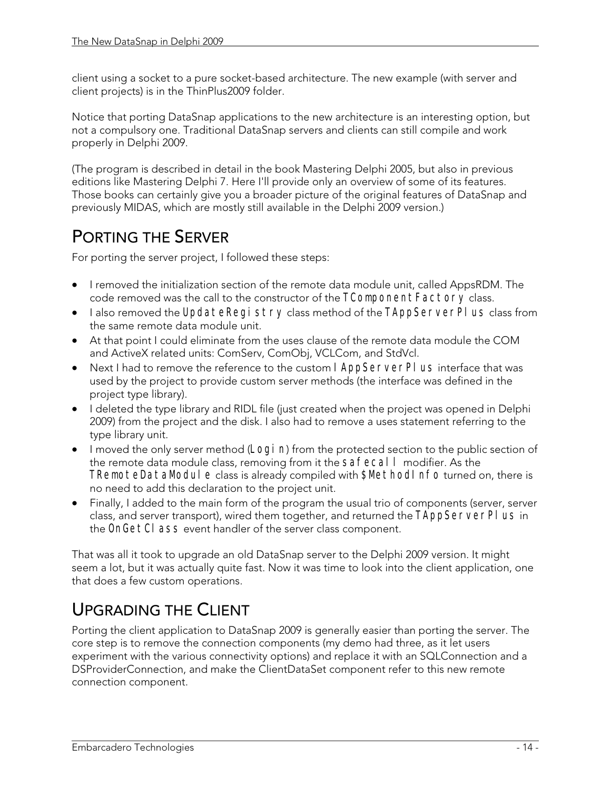client using a socket to a pure socket-based architecture. The new example (with server and client projects) is in the ThinPlus2009 folder.

Notice that porting DataSnap applications to the new architecture is an interesting option, but not a compulsory one. Traditional DataSnap servers and clients can still compile and work properly in Delphi 2009.

(The program is described in detail in the book Mastering Delphi 2005, but also in previous editions like Mastering Delphi 7. Here I'll provide only an overview of some of its features. Those books can certainly give you a broader picture of the original features of DataSnap and previously MIDAS, which are mostly still available in the Delphi 2009 version.)

#### PORTING THE SERVER

For porting the server project, I followed these steps:

- I removed the initialization section of the remote data module unit, called AppsRDM. The code removed was the call to the constructor of the TComponentFactory class.
- I also removed the UpdateRegistry class method of the TAppServerPI us class from the same remote data module unit.
- At that point I could eliminate from the uses clause of the remote data module the COM and ActiveX related units: ComServ, ComObj, VCLCom, and StdVcl.
- Next I had to remove the reference to the custom I AppServerPI us interface that was used by the project to provide custom server methods (the interface was defined in the project type library).
- I deleted the type library and RIDL file (just created when the project was opened in Delphi 2009) from the project and the disk. I also had to remove a uses statement referring to the type library unit.
- I moved the only server method (Login) from the protected section to the public section of the remote data module class, removing from it the Safecal I modifier. As the TRemoteDataModul e class is already compiled with \$MethodInfo turned on, there is no need to add this declaration to the project unit.
- Finally, I added to the main form of the program the usual trio of components (server, server class, and server transport), wired them together, and returned the TAppServerPI us in the OnGetCI ass event handler of the server class component.

That was all it took to upgrade an old DataSnap server to the Delphi 2009 version. It might seem a lot, but it was actually quite fast. Now it was time to look into the client application, one that does a few custom operations.

#### UPGRADING THE CLIENT

Porting the client application to DataSnap 2009 is generally easier than porting the server. The core step is to remove the connection components (my demo had three, as it let users experiment with the various connectivity options) and replace it with an SQLConnection and a DSProviderConnection, and make the ClientDataSet component refer to this new remote connection component.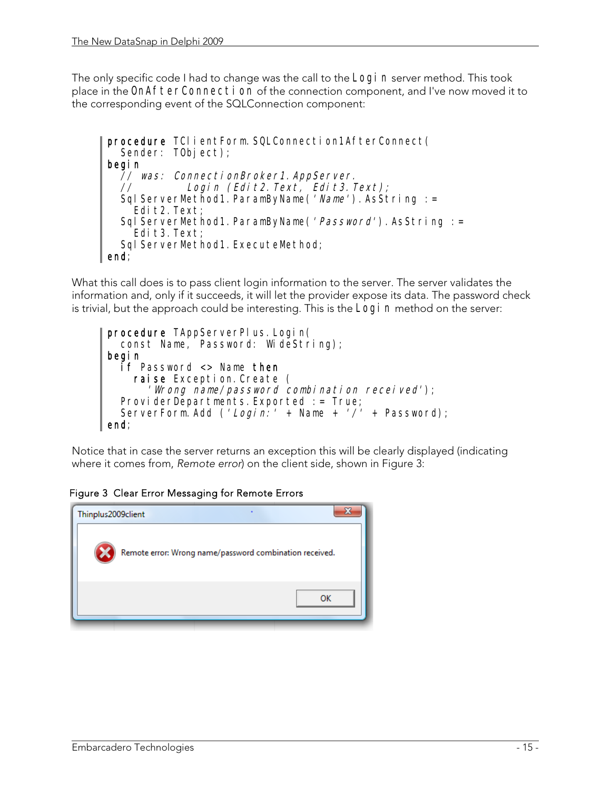The only specific code I had to change was the call to the Login server method. This took place in the OnAfterConnection of the connection component, and I've now moved it to the corresponding event of the SQLConnection component:

```
procedure TCI i entForm. SQLConnection1AfterConnect(
  Sender: T0bject);
begin 
   // was: ConnectionBroker1.AppServer. 
   // Login (Edit2.Text, Edit3.Text); 
  Sql ServerMethod1. ParamByName('Name'). AsString :=
     Edit2.Text; 
  Sql ServerMethod1. ParamByName('Password'). AsString :=
     Edit3.Text; 
  Sql ServerMethod1. ExecuteMethod;
end;
```
What this call does is to pass client login information to the server. The server validates the information and, only if it succeeds, it will let the provider expose its data. The password check is trivial, but the approach could be interesting. This is the  $Logi$  n method on the server:

```
procedure TAppServerPIus. Login(
 const Name, Password: WideString);
begin 
   if Password <> Name then 
raise Exception.Create (
 'Wrong name/password combination received'); 
 ProviderDepartments.Exported := True;ServerForm. Add ('Login:' + Name + '/' + Password);
end;
```
Notice that in case the server returns an exception this will be clearly displayed (indicating where it comes from, Remote error) on the client side, shown in Figure 3:

#### Figure 3 Clear Error Messaging for Remote Errors

| Thinplus2009client | ٠                                                       |
|--------------------|---------------------------------------------------------|
|                    | Remote error: Wrong name/password combination received. |
|                    | OK                                                      |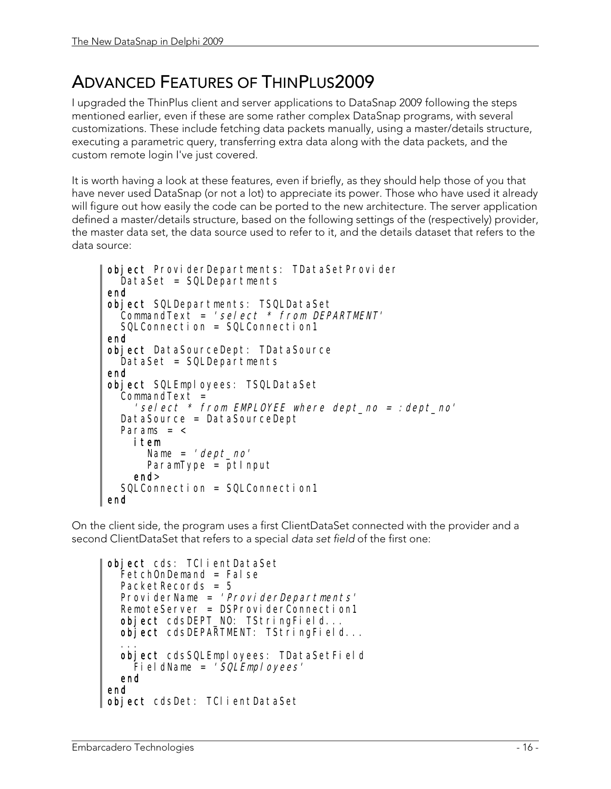#### ADVANCED FEATURES OF THINPLUS2009

I upgraded the ThinPlus client and server applications to DataSnap 2009 following the steps mentioned earlier, even if these are some rather complex DataSnap programs, with several customizations. These include fetching data packets manually, using a master/details structure, executing a parametric query, transferring extra data along with the data packets, and the custom remote login I've just covered.

It is worth having a look at these features, even if briefly, as they should help those of you that have never used DataSnap (or not a lot) to appreciate its power. Those who have used it already will figure out how easily the code can be ported to the new architecture. The server application defined a master/details structure, based on the following settings of the (respectively) provider, the master data set, the data source used to refer to it, and the details dataset that refers to the data source:

```
object ProviderDepartments: TDataSetProvider
   DataSet = SQLDepartments 
end 
object SQLDepartments: TSQLDataSet 
   CommandText = 'select * from DEPARTMENT' 
  SQLConnection = SQLConnection1
end 
object DataSourceDept: TDataSource
   DataSet = SQLDepartments 
end 
object SQLEmployees: TSQLDataSet
  Comment = 'select * from EMPLOYEE where dept_no = :dept_no' 
   DataSource = DataSourceDept 
  Params = < item 
      Name = ' dept_no'
       ParamType = ptInput 
     end> 
  SQLConnection = SQLConnection1
end
```
On the client side, the program uses a first ClientDataSet connected with the provider and a second ClientDataSet that refers to a special data set field of the first one:

```
object cds: TCI i entDataSet
   FetchOnDemand = False 
   PacketRecords = 5 
  ProviderName = 'ProviderDepartments'
  RemoteServer = DSProviderConnection1
  object cdsDEPT_NO: TStringField...
  object cdsDEPARTMENT: TStringField...
 ... 
  object cdsSQLEmployees: TDataSetField
    FieldName = 'SQLEmployees'
   end 
end 
object cdsDet: TCI i entDataSet
```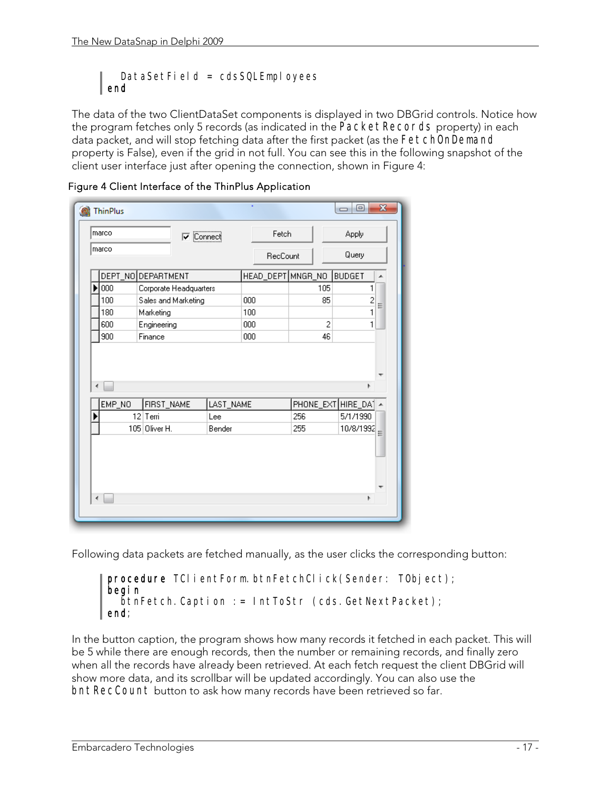#### DataSetField =  $cds$ SQLEmployees  $\vert$  end

The data of the two ClientDataSet components is displayed in two DBGrid controls. Notice how the program fetches only 5 records (as indicated in the PacketRecords property) in each data packet, and will stop fetching data after the first packet (as the FetchOnDemand property is False), even if the grid in not full. You can see this in the following snapshot of the client user interface just after opening the connection, shown in Figure 4:

| marco  | $\nabla$ Connect       |           | Fetch             |     | Apply              |   |
|--------|------------------------|-----------|-------------------|-----|--------------------|---|
| marco  |                        |           | RecCount          |     | Query              |   |
|        | DEPT_NO DEPARTMENT     |           | HEAD_DEPT MNGR_NO |     | <b>BUDGET</b>      | ▲ |
| 000    | Corporate Headquarters |           |                   | 105 | 1                  |   |
| 100    | Sales and Marketing    |           | 000               | 85  | 2                  | Ξ |
| 180    | Marketing              |           | 100               |     | 1                  |   |
| 600    | Engineering            |           | 000               | 2   | 1                  |   |
| 900    | Finance                |           | 000               | 46  |                    |   |
|        |                        |           |                   |     |                    |   |
|        |                        |           |                   |     | Þ                  |   |
| EMP_NO | FIRST_NAME             | LAST_NAME |                   |     | PHONE_EXT HIRE_DAT |   |
|        | 12 Terri               | Lee       |                   | 256 | 5/1/1990           |   |
|        | 105 Oliver H.          | Bender    |                   | 255 | 10/8/1992          | Ξ |

Figure 4 Client Interface of the ThinPlus Application

Following data packets are fetched manually, as the user clicks the corresponding button:

procedure TCI i entForm.btnFetchClick(Sender: TObject); begin  $\texttt{b}$ tnFetch. Caption := IntToStr (cds. GetNextPacket); end;

In the button caption, the program shows how many records it fetched in each packet. This will be 5 while there are enough records, then the number or remaining records, and finally zero when all the records have already been retrieved. At each fetch request the client DBGrid will show more data, and its scrollbar will be updated accordingly. You can also use the bntRecCount button to ask how many records have been retrieved so far.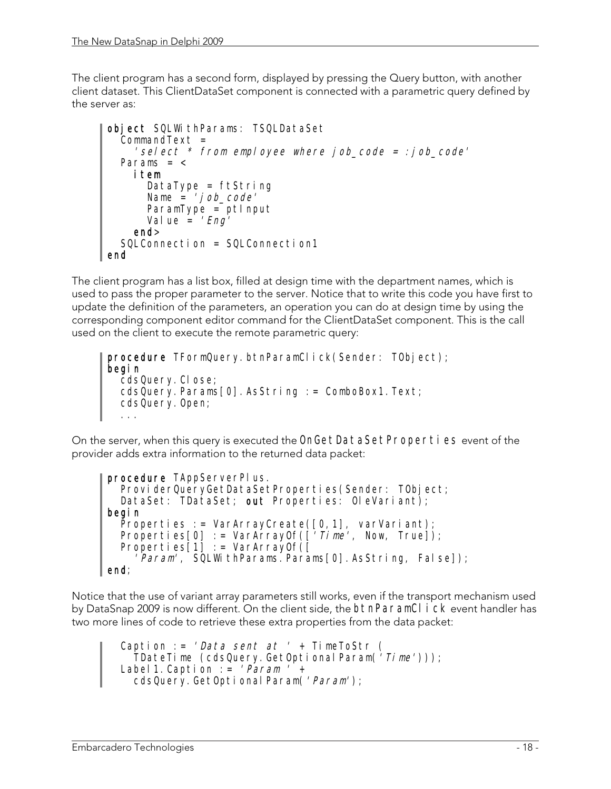The client program has a second form, displayed by pressing the Query button, with another client dataset. This ClientDataSet component is connected with a parametric query defined by the server as:

```
object SQLWithParams: TSQLDataSet 
   CommandText = 
     'select * from employee where job_code = :job_code' 
  Params = < item 
      DataType = ftString
      Name = 'job_code'
 ParamType = ptInput 
Value = 'Eng'
     end> 
  SQLConnection = SQLConnection1
end
```
The client program has a list box, filled at design time with the department names, which is used to pass the proper parameter to the server. Notice that to write this code you have first to update the definition of the parameters, an operation you can do at design time by using the corresponding component editor command for the ClientDataSet component. This is the call used on the client to execute the remote parametric query:

```
procedure TFormQuery.btnParamClick(Sender: TObject);
begin 
 cdsQuery. Close;
 cdsQuery. Params[0]. AsString := ComboBox1. Text;
  cdsQuery.Open; 
 ...
```
On the server, when this query is executed the OnGetDataSetProperties event of the provider adds extra information to the returned data packet:

```
procedure TAppServerPIus.
  ProviderQueryGetDataSetProperties(Sender: TObject;
  DataSet: TDataSet; out Properties: OleVariant);
begin 
  Properties := VarArrayCreate([0, 1], varVariant);
Properties[0] := \text{VarArrayOf}(\text{['Time', Now, True]}); Properties[1] := VarArrayOf([ 
     Param', SQLWithParams. Params[0]. AsString, False]);
end;
```
Notice that the use of variant array parameters still works, even if the transport mechanism used by DataSnap 2009 is now different. On the client side, the **btnParamCl i ck** event handler has two more lines of code to retrieve these extra properties from the data packet:

```
Caption := 'Data sent at ' + TimeToStr (TDateTime (cdsQuery.GetOptionalParam('Time')));
Label 1. Caption := 'P\hat{a}ram ' +cdsQuery. GetOptional Param('Param');
```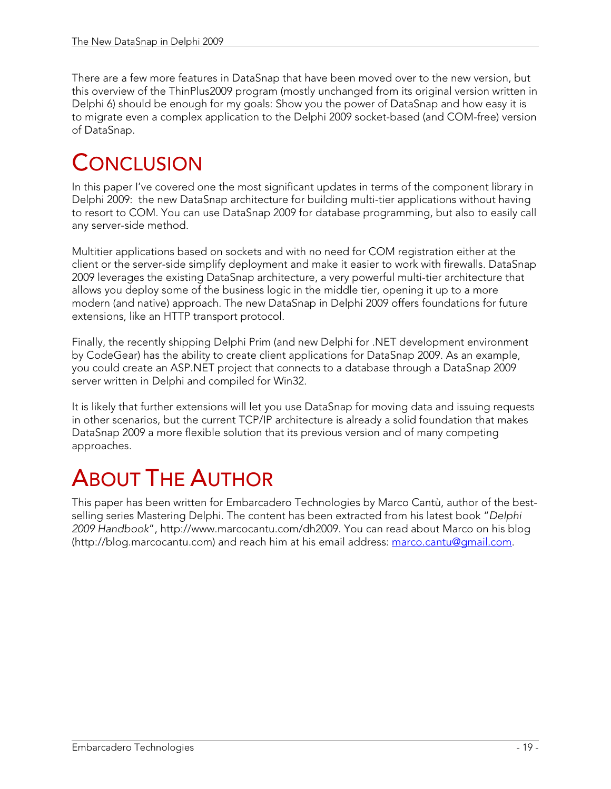There are a few more features in DataSnap that have been moved over to the new version, but this overview of the ThinPlus2009 program (mostly unchanged from its original version written in Delphi 6) should be enough for my goals: Show you the power of DataSnap and how easy it is to migrate even a complex application to the Delphi 2009 socket-based (and COM-free) version of DataSnap.

# **CONCLUSION**

In this paper I've covered one the most significant updates in terms of the component library in Delphi 2009: the new DataSnap architecture for building multi-tier applications without having to resort to COM. You can use DataSnap 2009 for database programming, but also to easily call any server-side method.

Multitier applications based on sockets and with no need for COM registration either at the client or the server-side simplify deployment and make it easier to work with firewalls. DataSnap 2009 leverages the existing DataSnap architecture, a very powerful multi-tier architecture that allows you deploy some of the business logic in the middle tier, opening it up to a more modern (and native) approach. The new DataSnap in Delphi 2009 offers foundations for future extensions, like an HTTP transport protocol.

Finally, the recently shipping Delphi Prim (and new Delphi for .NET development environment by CodeGear) has the ability to create client applications for DataSnap 2009. As an example, you could create an ASP.NET project that connects to a database through a DataSnap 2009 server written in Delphi and compiled for Win32.

It is likely that further extensions will let you use DataSnap for moving data and issuing requests in other scenarios, but the current TCP/IP architecture is already a solid foundation that makes DataSnap 2009 a more flexible solution that its previous version and of many competing approaches.

## ABOUT THE AUTHOR

This paper has been written for Embarcadero Technologies by Marco Cantù, author of the bestselling series Mastering Delphi. The content has been extracted from his latest book "Delphi 2009 Handbook", http://www.marcocantu.com/dh2009. You can read about Marco on his blog (http://blog.marcocantu.com) and reach him at his email address: marco.cantu@gmail.com.